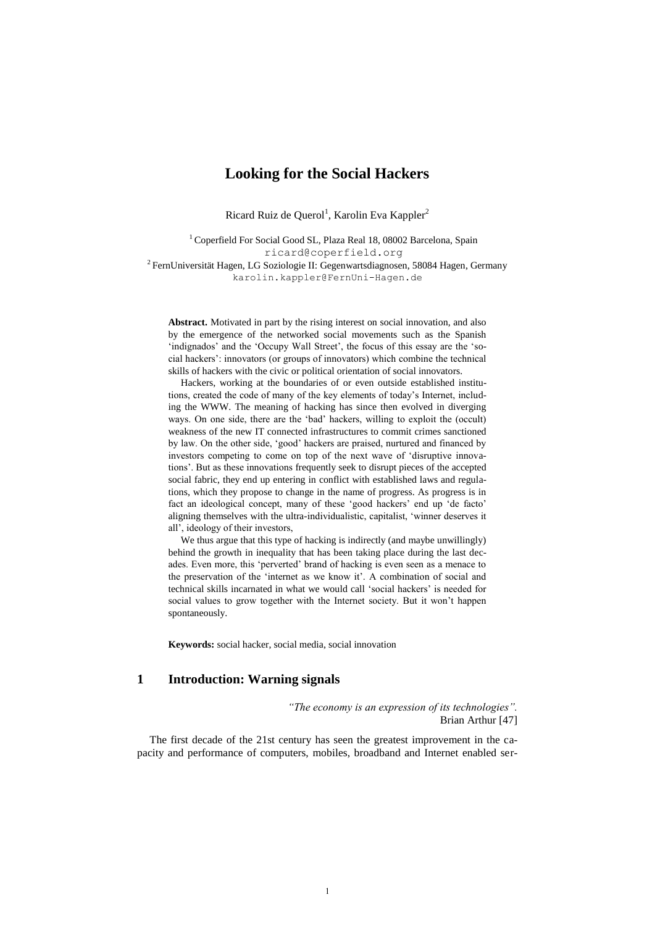# **Looking for the Social Hackers**

Ricard Ruiz de Querol<sup>1</sup>, Karolin Eva Kappler<sup>2</sup>

<sup>1</sup> Coperfield For Social Good SL, Plaza Real 18, 08002 Barcelona, Spain [ricard@coperfield.org](mailto:ricard@coperfield.org)  $2$  FernUniversität Hagen, LG Soziologie II: Gegenwartsdiagnosen, 58084 Hagen, Germany karolin.kappler@FernUni-Hagen.de

**Abstract.** Motivated in part by the rising interest on social innovation, and also by the emergence of the networked social movements such as the Spanish 'indignados' and the 'Occupy Wall Street', the focus of this essay are the 'social hackers': innovators (or groups of innovators) which combine the technical skills of hackers with the civic or political orientation of social innovators.

Hackers, working at the boundaries of or even outside established institutions, created the code of many of the key elements of today's Internet, including the WWW. The meaning of hacking has since then evolved in diverging ways. On one side, there are the 'bad' hackers, willing to exploit the (occult) weakness of the new IT connected infrastructures to commit crimes sanctioned by law. On the other side, 'good' hackers are praised, nurtured and financed by investors competing to come on top of the next wave of 'disruptive innovations'. But as these innovations frequently seek to disrupt pieces of the accepted social fabric, they end up entering in conflict with established laws and regulations, which they propose to change in the name of progress. As progress is in fact an ideological concept, many of these 'good hackers' end up 'de facto' aligning themselves with the ultra-individualistic, capitalist, 'winner deserves it all', ideology of their investors,

We thus argue that this type of hacking is indirectly (and maybe unwillingly) behind the growth in inequality that has been taking place during the last decades. Even more, this 'perverted' brand of hacking is even seen as a menace to the preservation of the 'internet as we know it'. A combination of social and technical skills incarnated in what we would call 'social hackers' is needed for social values to grow together with the Internet society. But it won't happen spontaneously.

**Keywords:** social hacker, social media, social innovation

### **1 Introduction: Warning signals**

*"The economy is an expression of its technologies".* Brian Arthur [47]

The first decade of the 21st century has seen the greatest improvement in the capacity and performance of computers, mobiles, broadband and Internet enabled ser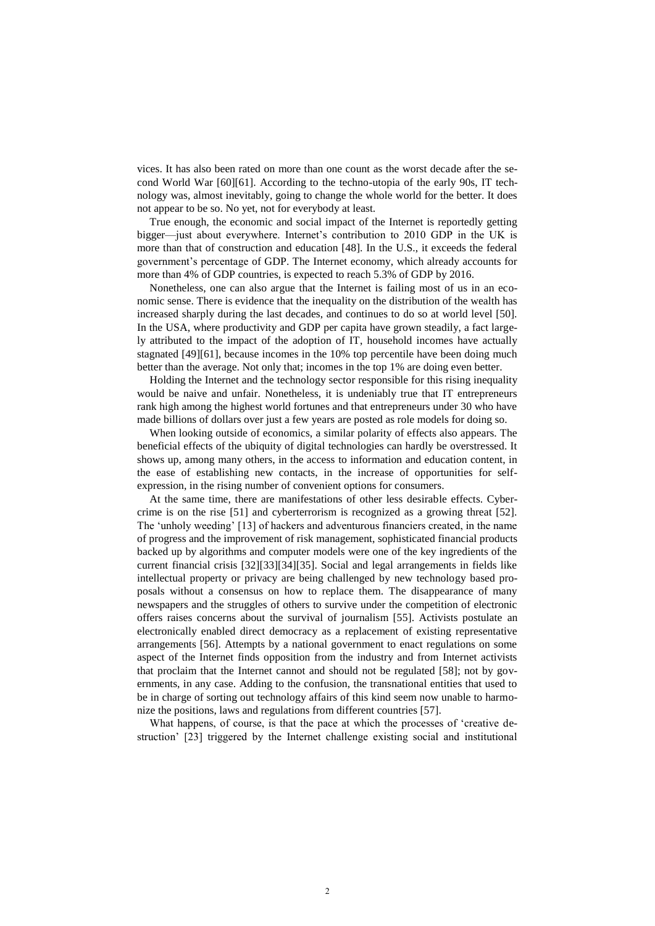vices. It has also been rated on more than one count as the worst decade after the second World War [60][61]. According to the techno-utopia of the early 90s, IT technology was, almost inevitably, going to change the whole world for the better. It does not appear to be so. No yet, not for everybody at least.

True enough, the economic and social impact of the Internet is reportedly getting bigger—just about everywhere. Internet's contribution to 2010 GDP in the UK is more than that of construction and education [48]. In the U.S., it exceeds the federal government's percentage of GDP. The Internet economy, which already accounts for more than 4% of GDP countries, is expected to reach 5.3% of GDP by 2016.

Nonetheless, one can also argue that the Internet is failing most of us in an economic sense. There is evidence that the inequality on the distribution of the wealth has increased sharply during the last decades, and continues to do so at world level [50]. In the USA, where productivity and GDP per capita have grown steadily, a fact largely attributed to the impact of the adoption of IT, household incomes have actually stagnated [49][61], because incomes in the 10% top percentile have been doing much better than the average. Not only that; incomes in the top 1% are doing even better.

Holding the Internet and the technology sector responsible for this rising inequality would be naive and unfair. Nonetheless, it is undeniably true that IT entrepreneurs rank high among the highest world fortunes and that entrepreneurs under 30 who have made billions of dollars over just a few years are posted as role models for doing so.

When looking outside of economics, a similar polarity of effects also appears. The beneficial effects of the ubiquity of digital technologies can hardly be overstressed. It shows up, among many others, in the access to information and education content, in the ease of establishing new contacts, in the increase of opportunities for selfexpression, in the rising number of convenient options for consumers.

At the same time, there are manifestations of other less desirable effects. Cybercrime is on the rise [51] and cyberterrorism is recognized as a growing threat [52]. The 'unholy weeding' [13] of hackers and adventurous financiers created, in the name of progress and the improvement of risk management, sophisticated financial products backed up by algorithms and computer models were one of the key ingredients of the current financial crisis [32][33][34][35]. Social and legal arrangements in fields like intellectual property or privacy are being challenged by new technology based proposals without a consensus on how to replace them. The disappearance of many newspapers and the struggles of others to survive under the competition of electronic offers raises concerns about the survival of journalism [55]. Activists postulate an electronically enabled direct democracy as a replacement of existing representative arrangements [56]. Attempts by a national government to enact regulations on some aspect of the Internet finds opposition from the industry and from Internet activists that proclaim that the Internet cannot and should not be regulated [58]; not by governments, in any case. Adding to the confusion, the transnational entities that used to be in charge of sorting out technology affairs of this kind seem now unable to harmonize the positions, laws and regulations from different countries [57].

What happens, of course, is that the pace at which the processes of 'creative destruction' [23] triggered by the Internet challenge existing social and institutional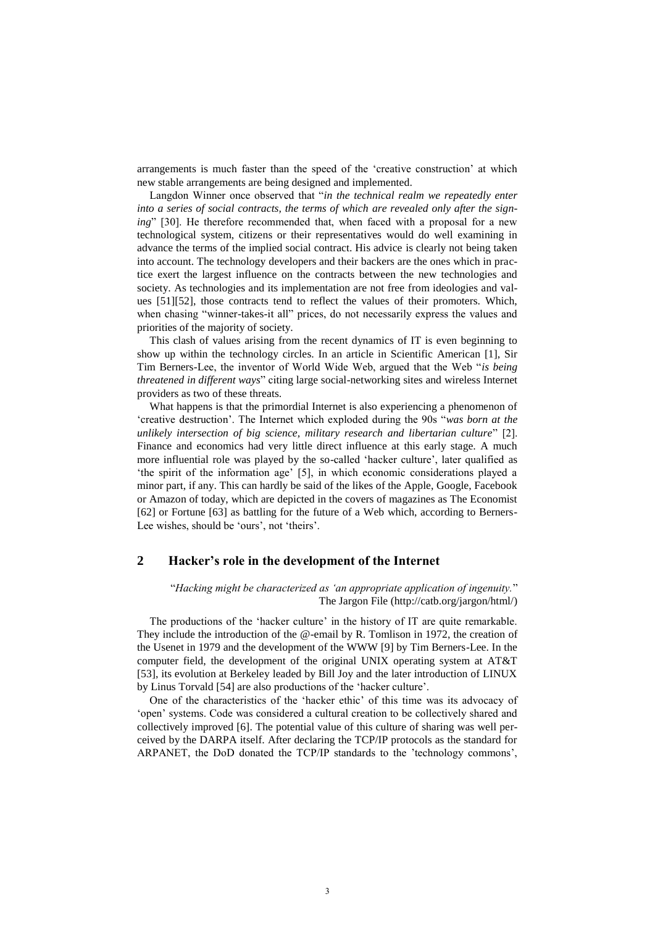arrangements is much faster than the speed of the 'creative construction' at which new stable arrangements are being designed and implemented.

Langdon Winner once observed that "*in the technical realm we repeatedly enter into a series of social contracts, the terms of which are revealed only after the signing*" [30]. He therefore recommended that, when faced with a proposal for a new technological system, citizens or their representatives would do well examining in advance the terms of the implied social contract. His advice is clearly not being taken into account. The technology developers and their backers are the ones which in practice exert the largest influence on the contracts between the new technologies and society. As technologies and its implementation are not free from ideologies and values [51][52], those contracts tend to reflect the values of their promoters. Which, when chasing "winner-takes-it all" prices, do not necessarily express the values and priorities of the majority of society.

This clash of values arising from the recent dynamics of IT is even beginning to show up within the technology circles. In an article in Scientific American [1], Sir Tim Berners-Lee, the inventor of World Wide Web, argued that the Web "*is being threatened in different ways*" citing large social-networking sites and wireless Internet providers as two of these threats.

What happens is that the primordial Internet is also experiencing a phenomenon of 'creative destruction'. The Internet which exploded during the 90s "*was born at the unlikely intersection of big science, military research and libertarian culture*" [2]. Finance and economics had very little direct influence at this early stage. A much more influential role was played by the so-called 'hacker culture', later qualified as 'the spirit of the information age' [5], in which economic considerations played a minor part, if any. This can hardly be said of the likes of the Apple, Google, Facebook or Amazon of today, which are depicted in the covers of magazines as The Economist [62] or Fortune [63] as battling for the future of a Web which, according to Berners-Lee wishes, should be 'ours', not 'theirs'.

# **2 Hacker's role in the development of the Internet**

"*Hacking might be characterized as 'an appropriate application of ingenuity.*" The Jargon File [\(http://catb.org/jargon/html/\)](http://catb.org/jargon/html/)

The productions of the 'hacker culture' in the history of IT are quite remarkable. They include the introduction of the @-email by R. Tomlison in 1972, the creation of the Usenet in 1979 and the development of the WWW [9] by Tim Berners-Lee. In the computer field, the development of the original UNIX operating system at AT&T [53], its evolution at Berkeley leaded by Bill Joy and the later introduction of LINUX by Linus Torvald [54] are also productions of the 'hacker culture'.

One of the characteristics of the 'hacker ethic' of this time was its advocacy of 'open' systems. Code was considered a cultural creation to be collectively shared and collectively improved [6]. The potential value of this culture of sharing was well perceived by the DARPA itself. After declaring the TCP/IP protocols as the standard for ARPANET, the DoD donated the TCP/IP standards to the 'technology commons',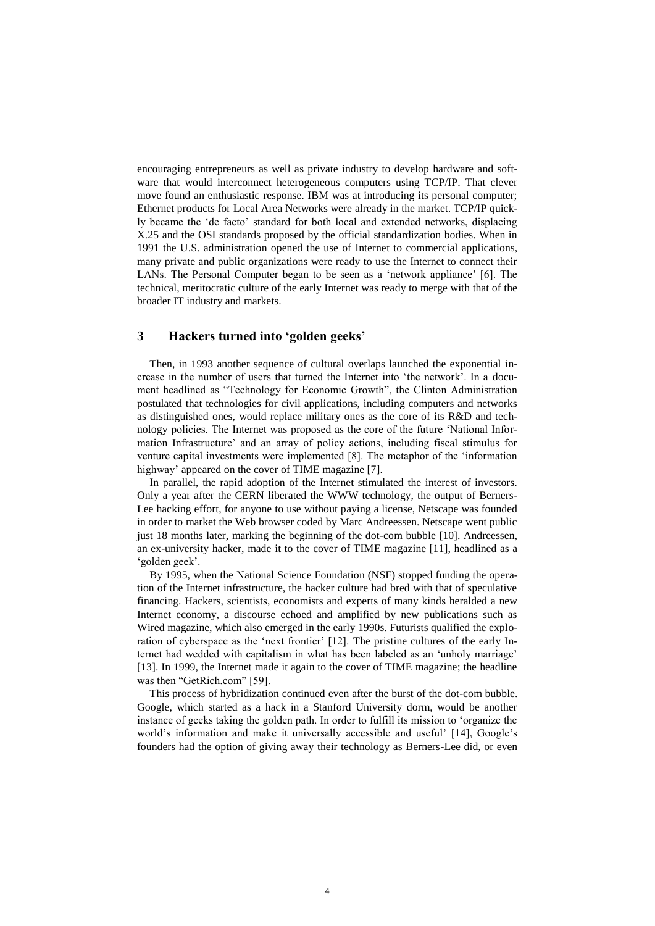encouraging entrepreneurs as well as private industry to develop hardware and software that would interconnect heterogeneous computers using TCP/IP. That clever move found an enthusiastic response. IBM was at introducing its personal computer; Ethernet products for Local Area Networks were already in the market. TCP/IP quickly became the 'de facto' standard for both local and extended networks, displacing X.25 and the OSI standards proposed by the official standardization bodies. When in 1991 the U.S. administration opened the use of Internet to commercial applications, many private and public organizations were ready to use the Internet to connect their LANs. The Personal Computer began to be seen as a 'network appliance' [6]. The technical, meritocratic culture of the early Internet was ready to merge with that of the broader IT industry and markets.

## **3 Hackers turned into 'golden geeks'**

Then, in 1993 another sequence of cultural overlaps launched the exponential increase in the number of users that turned the Internet into 'the network'. In a document headlined as "Technology for Economic Growth", the Clinton Administration postulated that technologies for civil applications, including computers and networks as distinguished ones, would replace military ones as the core of its R&D and technology policies. The Internet was proposed as the core of the future 'National Information Infrastructure' and an array of policy actions, including fiscal stimulus for venture capital investments were implemented [8]. The metaphor of the 'information highway' appeared on the cover of TIME magazine [7].

In parallel, the rapid adoption of the Internet stimulated the interest of investors. Only a year after the CERN liberated the WWW technology, the output of Berners-Lee hacking effort, for anyone to use without paying a license, Netscape was founded in order to market the Web browser coded by Marc Andreessen. Netscape went public just 18 months later, marking the beginning of the dot-com bubble [10]. Andreessen, an ex-university hacker, made it to the cover of TIME magazine [11], headlined as a 'golden geek'.

By 1995, when the National Science Foundation (NSF) stopped funding the operation of the Internet infrastructure, the hacker culture had bred with that of speculative financing. Hackers, scientists, economists and experts of many kinds heralded a new Internet economy, a discourse echoed and amplified by new publications such as Wired magazine, which also emerged in the early 1990s. Futurists qualified the exploration of cyberspace as the 'next frontier' [12]. The pristine cultures of the early Internet had wedded with capitalism in what has been labeled as an 'unholy marriage' [13]. In 1999, the Internet made it again to the cover of TIME magazine; the headline was then "GetRich.com" [59].

This process of hybridization continued even after the burst of the dot-com bubble. Google, which started as a hack in a Stanford University dorm, would be another instance of geeks taking the golden path. In order to fulfill its mission to 'organize the world's information and make it universally accessible and useful' [14], Google's founders had the option of giving away their technology as Berners-Lee did, or even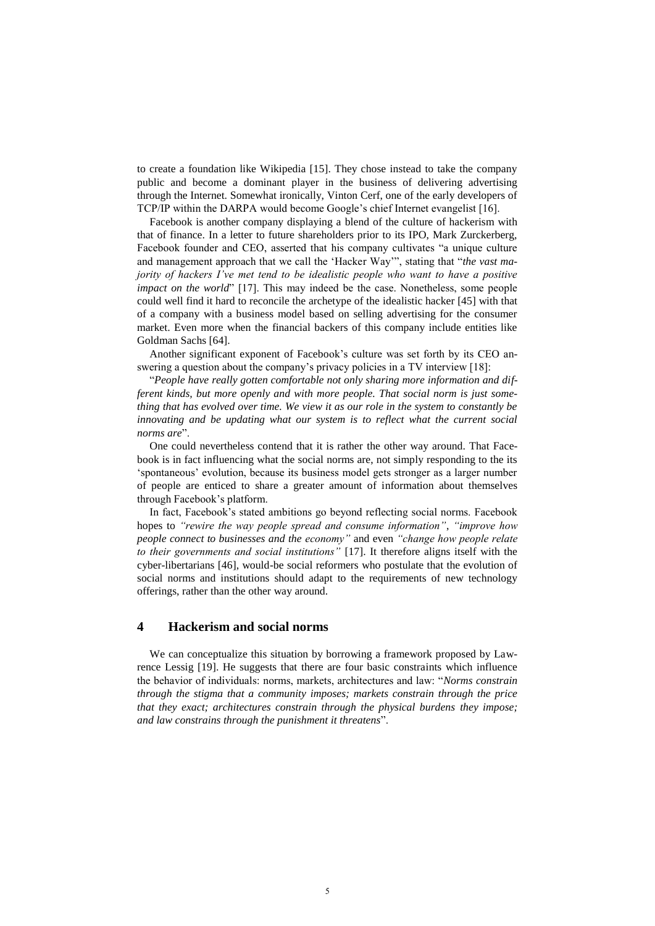to create a foundation like Wikipedia [15]. They chose instead to take the company public and become a dominant player in the business of delivering advertising through the Internet. Somewhat ironically, Vinton Cerf, one of the early developers of TCP/IP within the DARPA would become Google's chief Internet evangelist [16].

Facebook is another company displaying a blend of the culture of hackerism with that of finance. In a letter to future shareholders prior to its IPO, Mark Zurckerberg, Facebook founder and CEO, asserted that his company cultivates "a unique culture and management approach that we call the 'Hacker Way'", stating that "*the vast majority of hackers I've met tend to be idealistic people who want to have a positive impact on the world*" [17]. This may indeed be the case. Nonetheless, some people could well find it hard to reconcile the archetype of the idealistic hacker [45] with that of a company with a business model based on selling advertising for the consumer market. Even more when the financial backers of this company include entities like Goldman Sachs [64].

Another significant exponent of Facebook's culture was set forth by its CEO answering a question about the company's privacy policies in a TV interview [18]:

"*People have really gotten comfortable not only sharing more information and different kinds, but more openly and with more people. That social norm is just something that has evolved over time. We view it as our role in the system to constantly be innovating and be updating what our system is to reflect what the current social norms are*".

One could nevertheless contend that it is rather the other way around. That Facebook is in fact influencing what the social norms are, not simply responding to the its 'spontaneous' evolution, because its business model gets stronger as a larger number of people are enticed to share a greater amount of information about themselves through Facebook's platform.

In fact, Facebook's stated ambitions go beyond reflecting social norms. Facebook hopes to *"rewire the way people spread and consume information"*, *"improve how people connect to businesses and the economy"* and even *"change how people relate to their governments and social institutions"* [17]. It therefore aligns itself with the cyber-libertarians [46], would-be social reformers who postulate that the evolution of social norms and institutions should adapt to the requirements of new technology offerings, rather than the other way around.

#### **4 Hackerism and social norms**

We can conceptualize this situation by borrowing a framework proposed by Lawrence Lessig [19]. He suggests that there are four basic constraints which influence the behavior of individuals: norms, markets, architectures and law: "*Norms constrain through the stigma that a community imposes; markets constrain through the price that they exact; architectures constrain through the physical burdens they impose; and law constrains through the punishment it threatens*".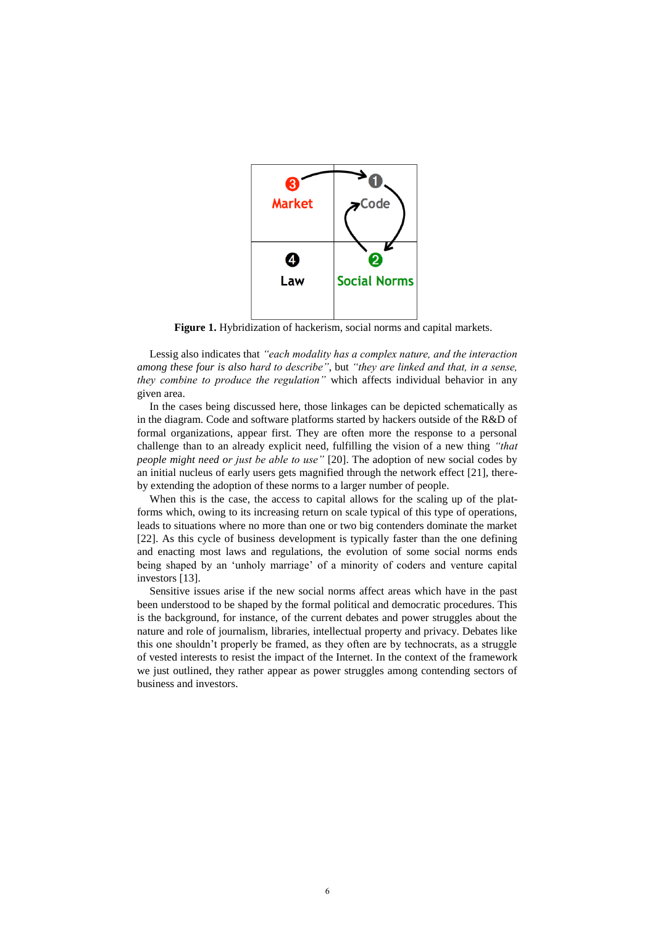

**Figure 1.** Hybridization of hackerism, social norms and capital markets.

Lessig also indicates that *"each modality has a complex nature, and the interaction among these four is also hard to describe"*, but *"they are linked and that, in a sense, they combine to produce the regulation"* which affects individual behavior in any given area.

In the cases being discussed here, those linkages can be depicted schematically as in the diagram. Code and software platforms started by hackers outside of the R&D of formal organizations, appear first. They are often more the response to a personal challenge than to an already explicit need, fulfilling the vision of a new thing *"that people might need or just be able to use"* [20]. The adoption of new social codes by an initial nucleus of early users gets magnified through the network effect [21], thereby extending the adoption of these norms to a larger number of people.

When this is the case, the access to capital allows for the scaling up of the platforms which, owing to its increasing return on scale typical of this type of operations, leads to situations where no more than one or two big contenders dominate the market [22]. As this cycle of business development is typically faster than the one defining and enacting most laws and regulations, the evolution of some social norms ends being shaped by an 'unholy marriage' of a minority of coders and venture capital investors [13].

Sensitive issues arise if the new social norms affect areas which have in the past been understood to be shaped by the formal political and democratic procedures. This is the background, for instance, of the current debates and power struggles about the nature and role of journalism, libraries, intellectual property and privacy. Debates like this one shouldn't properly be framed, as they often are by technocrats, as a struggle of vested interests to resist the impact of the Internet. In the context of the framework we just outlined, they rather appear as power struggles among contending sectors of business and investors.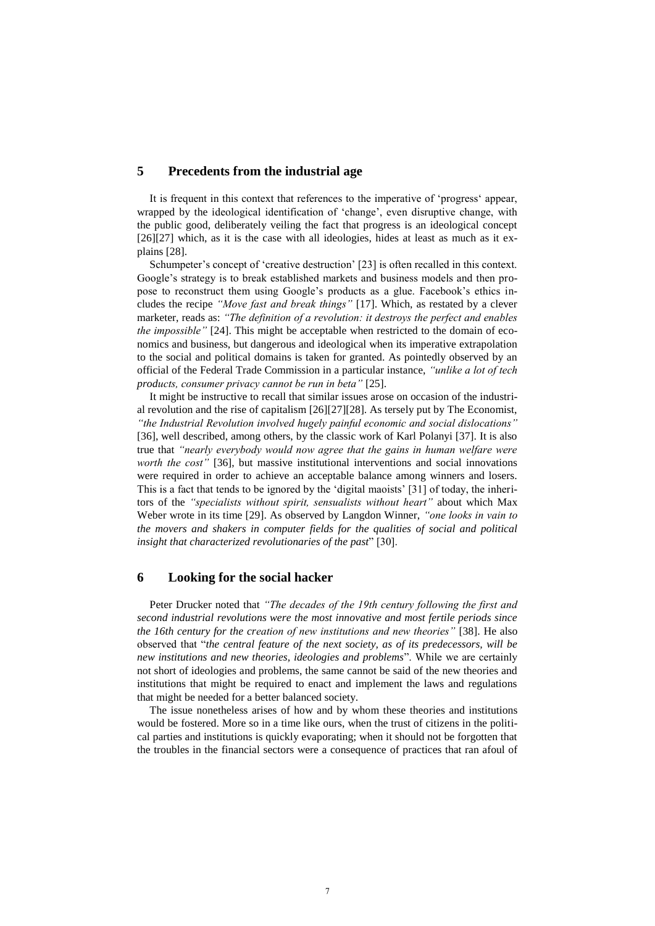## **5 Precedents from the industrial age**

It is frequent in this context that references to the imperative of 'progress' appear, wrapped by the ideological identification of 'change', even disruptive change, with the public good, deliberately veiling the fact that progress is an ideological concept  $[26][27]$  which, as it is the case with all ideologies, hides at least as much as it explains [28].

Schumpeter's concept of 'creative destruction' [23] is often recalled in this context. Google's strategy is to break established markets and business models and then propose to reconstruct them using Google's products as a glue. Facebook's ethics includes the recipe *"Move fast and break things"* [17]. Which, as restated by a clever marketer, reads as: *"The definition of a revolution: it destroys the perfect and enables the impossible"* [24]. This might be acceptable when restricted to the domain of economics and business, but dangerous and ideological when its imperative extrapolation to the social and political domains is taken for granted. As pointedly observed by an official of the Federal Trade Commission in a particular instance, *"unlike a lot of tech products, consumer privacy cannot be run in beta"* [25].

It might be instructive to recall that similar issues arose on occasion of the industrial revolution and the rise of capitalism [26][27][28]. As tersely put by The Economist, *"the Industrial Revolution involved hugely painful economic and social dislocations"* [36], well described, among others, by the classic work of Karl Polanyi [37]. It is also true that *"nearly everybody would now agree that the gains in human welfare were worth the cost"* [36], but massive institutional interventions and social innovations were required in order to achieve an acceptable balance among winners and losers. This is a fact that tends to be ignored by the 'digital maoists' [31] of today, the inheritors of the *"specialists without spirit, sensualists without heart"* about which Max Weber wrote in its time [29]. As observed by Langdon Winner, *"one looks in vain to the movers and shakers in computer fields for the qualities of social and political insight that characterized revolutionaries of the past*" [30].

### **6 Looking for the social hacker**

Peter Drucker noted that *"The decades of the 19th century following the first and second industrial revolutions were the most innovative and most fertile periods since the 16th century for the creation of new institutions and new theories"* [38]. He also observed that "*the central feature of the next society, as of its predecessors, will be new institutions and new theories, ideologies and problems*". While we are certainly not short of ideologies and problems, the same cannot be said of the new theories and institutions that might be required to enact and implement the laws and regulations that might be needed for a better balanced society.

The issue nonetheless arises of how and by whom these theories and institutions would be fostered. More so in a time like ours, when the trust of citizens in the political parties and institutions is quickly evaporating; when it should not be forgotten that the troubles in the financial sectors were a consequence of practices that ran afoul of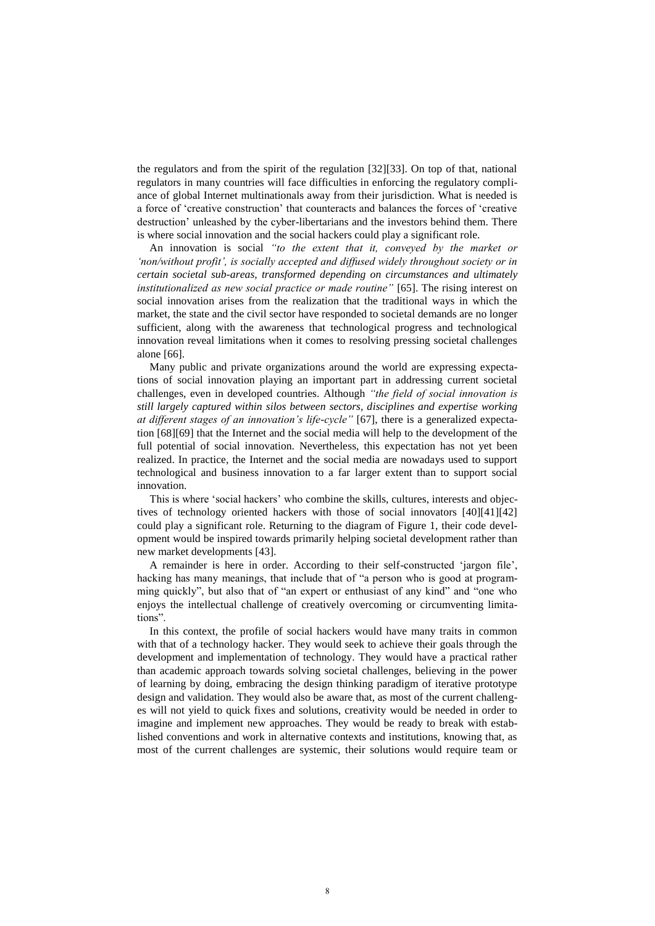the regulators and from the spirit of the regulation [32][33]. On top of that, national regulators in many countries will face difficulties in enforcing the regulatory compliance of global Internet multinationals away from their jurisdiction. What is needed is a force of 'creative construction' that counteracts and balances the forces of 'creative destruction' unleashed by the cyber-libertarians and the investors behind them. There is where social innovation and the social hackers could play a significant role.

An innovation is social *"to the extent that it, conveyed by the market or 'non/without profit', is socially accepted and diffused widely throughout society or in certain societal sub-areas, transformed depending on circumstances and ultimately institutionalized as new social practice or made routine"* [65]. The rising interest on social innovation arises from the realization that the traditional ways in which the market, the state and the civil sector have responded to societal demands are no longer sufficient, along with the awareness that technological progress and technological innovation reveal limitations when it comes to resolving pressing societal challenges alone [66].

Many public and private organizations around the world are expressing expectations of social innovation playing an important part in addressing current societal challenges, even in developed countries. Although *"the field of social innovation is still largely captured within silos between sectors, disciplines and expertise working at different stages of an innovation's life-cycle"* [67], there is a generalized expectation [68][69] that the Internet and the social media will help to the development of the full potential of social innovation. Nevertheless, this expectation has not yet been realized. In practice, the Internet and the social media are nowadays used to support technological and business innovation to a far larger extent than to support social innovation.

This is where 'social hackers' who combine the skills, cultures, interests and objectives of technology oriented hackers with those of social innovators [40][41][42] could play a significant role. Returning to the diagram of Figure 1, their code development would be inspired towards primarily helping societal development rather than new market developments [43].

A remainder is here in order. According to their self-constructed 'jargon file', hacking has many meanings, that include that of "a person who is good at programming quickly", but also that of "an expert or enthusiast of any kind" and "one who enjoys the intellectual challenge of creatively overcoming or circumventing limitations".

In this context, the profile of social hackers would have many traits in common with that of a technology hacker. They would seek to achieve their goals through the development and implementation of technology. They would have a practical rather than academic approach towards solving societal challenges, believing in the power of learning by doing, embracing the design thinking paradigm of iterative prototype design and validation. They would also be aware that, as most of the current challenges will not yield to quick fixes and solutions, creativity would be needed in order to imagine and implement new approaches. They would be ready to break with established conventions and work in alternative contexts and institutions, knowing that, as most of the current challenges are systemic, their solutions would require team or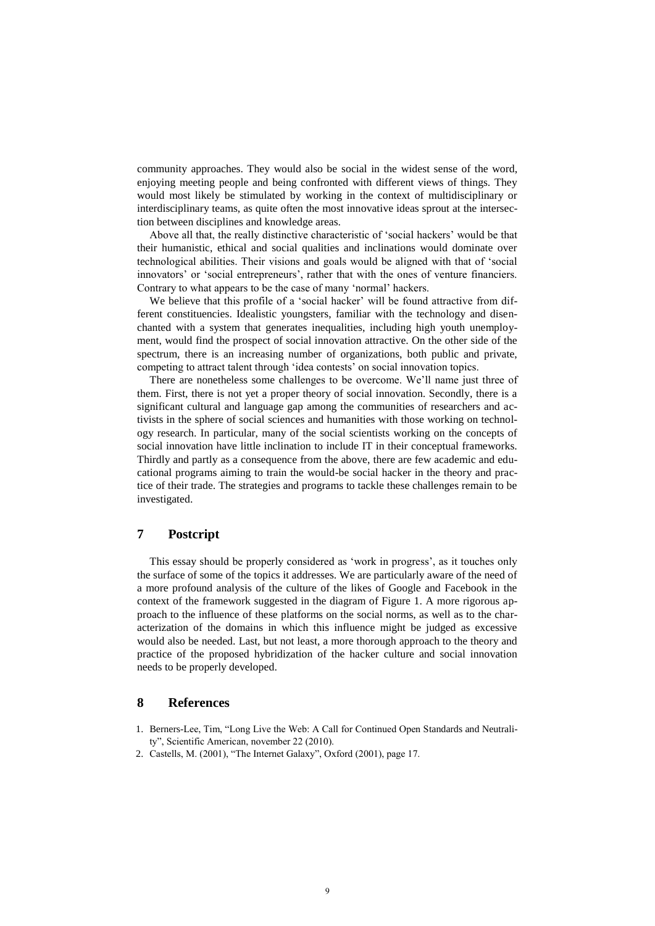community approaches. They would also be social in the widest sense of the word, enjoying meeting people and being confronted with different views of things. They would most likely be stimulated by working in the context of multidisciplinary or interdisciplinary teams, as quite often the most innovative ideas sprout at the intersection between disciplines and knowledge areas.

Above all that, the really distinctive characteristic of 'social hackers' would be that their humanistic, ethical and social qualities and inclinations would dominate over technological abilities. Their visions and goals would be aligned with that of 'social innovators' or 'social entrepreneurs', rather that with the ones of venture financiers. Contrary to what appears to be the case of many 'normal' hackers.

We believe that this profile of a 'social hacker' will be found attractive from different constituencies. Idealistic youngsters, familiar with the technology and disenchanted with a system that generates inequalities, including high youth unemployment, would find the prospect of social innovation attractive. On the other side of the spectrum, there is an increasing number of organizations, both public and private, competing to attract talent through 'idea contests' on social innovation topics.

There are nonetheless some challenges to be overcome. We'll name just three of them. First, there is not yet a proper theory of social innovation. Secondly, there is a significant cultural and language gap among the communities of researchers and activists in the sphere of social sciences and humanities with those working on technology research. In particular, many of the social scientists working on the concepts of social innovation have little inclination to include IT in their conceptual frameworks. Thirdly and partly as a consequence from the above, there are few academic and educational programs aiming to train the would-be social hacker in the theory and practice of their trade. The strategies and programs to tackle these challenges remain to be investigated.

### **7 Postcript**

This essay should be properly considered as 'work in progress', as it touches only the surface of some of the topics it addresses. We are particularly aware of the need of a more profound analysis of the culture of the likes of Google and Facebook in the context of the framework suggested in the diagram of Figure 1. A more rigorous approach to the influence of these platforms on the social norms, as well as to the characterization of the domains in which this influence might be judged as excessive would also be needed. Last, but not least, a more thorough approach to the theory and practice of the proposed hybridization of the hacker culture and social innovation needs to be properly developed.

### **8 References**

- 1. Berners-Lee, Tim, "Long Live the Web: A Call for Continued Open Standards and Neutrality", Scientific American, november 22 (2010).
- 2. Castells, M. (2001), "The Internet Galaxy", Oxford (2001), page 17.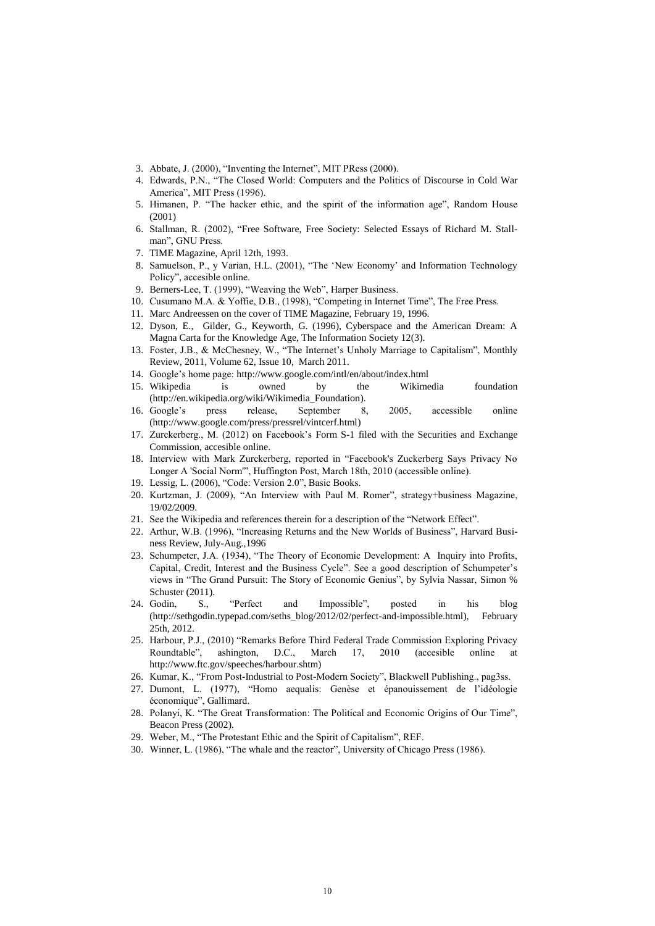- 3. Abbate, J. (2000), "Inventing the Internet", MIT PRess (2000).
- 4. Edwards, P.N., "The Closed World: Computers and the Politics of Discourse in Cold War America", MIT Press (1996).
- 5. Himanen, P. "The hacker ethic, and the spirit of the information age", Random House (2001)
- 6. Stallman, R. (2002), ["Free Software, Free Society: Selected Essays of Richard M. Stall](http://www.amazon.com/Free-Software-Society-Selected-Stallman/dp/1882114981/ref=sr_1_1?ie=UTF8&qid=1362577619&sr=8-1&keywords=Free+Software+Free+Society%3A+Selected+Essays+of+Richard+M.+Stallman%2C+2nd+Edition)[man"](http://www.amazon.com/Free-Software-Society-Selected-Stallman/dp/1882114981/ref=sr_1_1?ie=UTF8&qid=1362577619&sr=8-1&keywords=Free+Software+Free+Society%3A+Selected+Essays+of+Richard+M.+Stallman%2C+2nd+Edition), GNU Press.
- 7. TIME Magazine, April 12th, 1993.
- 8. Samuelson, P., y Varian, H.L. (2001), "The 'New Economy' and Information Technology Policy", accesible online.
- 9. Berners-Lee, T. (1999), "Weaving the Web", Harper Business.
- 10. Cusumano M.A. & Yoffie, D.B., (1998), "Competing in Internet Time", The Free Press.
- 11. Marc Andreessen on the cover of TIME Magazine, February 19, 1996.
- 12. Dyson, E., Gilder, G., Keyworth, G. (1996), Cyberspace and the American Dream: A Magna Carta for the Knowledge Age, The Information Society 12(3).
- 13. Foster, J.B., & McChesney, W., "The Internet's Unholy Marriage to Capitalism", Monthly Review, 2011, Volume 62, Issue 10, March 2011.
- 14. Google's home page:<http://www.google.com/intl/en/about/index.html>
- 15. Wikipedia is owned by the Wikimedia foundation [\(http://en.wikipedia.org/wiki/Wikimedia\\_Foundation\)](http://en.wikipedia.org/wiki/Wikimedia_Foundation).
- 16. Google's press release, September 8, 2005, accessible online [\(http://www.google.com/press/pressrel/vintcerf.html\)](http://www.google.com/press/pressrel/vintcerf.html)
- 17. Zurckerberg., M. (2012) on Facebook's [Form S-1](http://r.smartbrief.com/resp/dtqVCacbegelhJgIfDcXgwfCmFBs) filed with the Securities and Exchange Commission, accesible online.
- 18. Interview with Mark Zurckerberg, reported in "Facebook's Zuckerberg Says Privacy No Longer A 'Social Norm'", Huffington Post, March 18th, 2010 (accessible online).
- 19. Lessig, L. (2006), "Code: Version 2.0", Basic Books.
- 20. Kurtzman, J. (2009), "An Interview with Paul M. Romer", strategy+business Magazine, 19/02/2009.
- 21. See the Wikipedia and references therein for a description of the "Network Effect".
- 22. Arthur, W.B. (1996), "Increasing Returns and the New Worlds of Business", Harvard Business Review, July-Aug.,1996
- 23. Schumpeter, J.A. (1934), "The Theory of Economic Development: A Inquiry into Profits, Capital, Credit, Interest and the Business Cycle". See a good description of Schumpeter's views in "The Grand Pursuit: The Story of Economic Genius", by Sylvia Nassar, Simon % Schuster (2011).
- 24. Godin, S., "Perfect and Impossible", posted in his blog [\(http://sethgodin.typepad.com/seths\\_blog/2012/02/perfect-and-impossible.html\)](http://sethgodin.typepad.com/seths_blog/2012/02/perfect-and-impossible.html), February 25th, 2012.
- 25. Harbour, P.J., (2010) "Remarks Before Third Federal Trade Commission Exploring Privacy Roundtable", ashington, D.C., March 17, 2010 (accesible online at [http://www.ftc.gov/speeches/harbour.shtm\)](http://www.ftc.gov/speeches/harbour.shtm)
- 26. Kumar, K., "From Post-Industrial to Post-Modern Society", Blackwell Publishing., pag3ss.
- 27. Dumont, L. (1977), "Homo aequalis: Genèse et épanouissement de l'idéologie économique", Gallimard.
- 28. Polanyi, K. "The Great Transformation: The Political and Economic Origins of Our Time", Beacon Press (2002).
- 29. Weber, M., "The Protestant Ethic and the Spirit of Capitalism", REF.
- 30. Winner, L. (1986), "The whale and the reactor", University of Chicago Press (1986).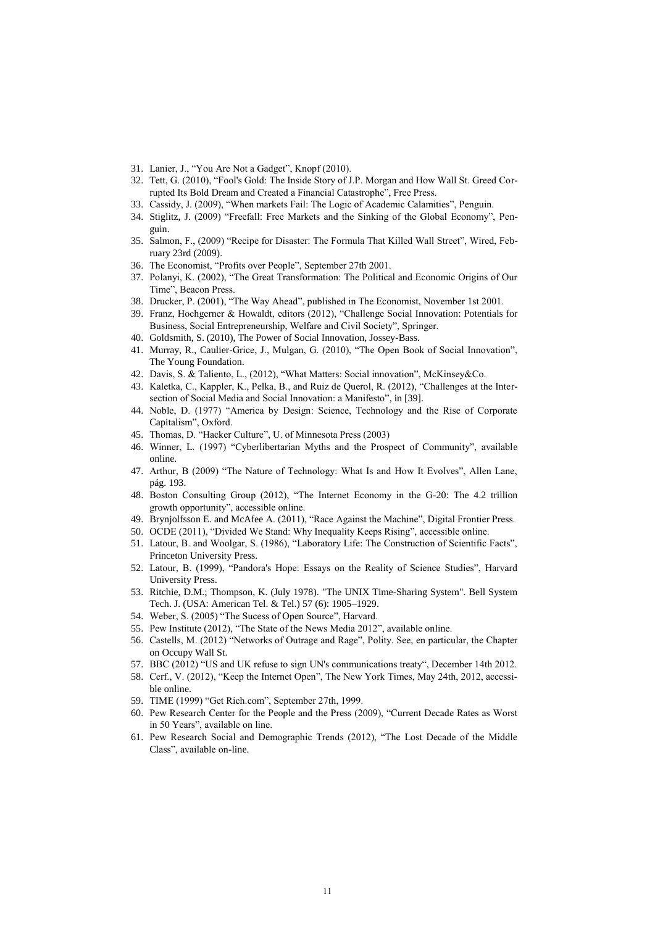- 31. Lanier, J., "You Are Not a Gadget", Knopf (2010).
- 32. Tett, G. (2010), "Fool's Gold: The Inside Story of J.P. Morgan and How Wall St. Greed Corrupted Its Bold Dream and Created a Financial Catastrophe", Free Press.
- 33. Cassidy, J. (2009), "When markets Fail: The Logic of Academic Calamities", Penguin.
- 34. Stiglitz, J. (2009) "Freefall: Free Markets and the Sinking of the Global Economy", Penguin.
- 35. Salmon, F., (2009) "Recipe for Disaster: The Formula That Killed Wall Street", Wired, February 23rd (2009).
- 36. The Economist, "Profits over People", September 27th 2001.
- 37. Polanyi, K. (2002), "The Great Transformation: The Political and Economic Origins of Our Time", Beacon Press.
- 38. Drucker, P. (2001), "The Way Ahead", published in The Economist, November 1st 2001.
- 39. Franz, Hochgerner & Howaldt, editors (2012), "Challenge Social Innovation: Potentials for Business, Social Entrepreneurship, Welfare and Civil Society", Springer.
- 40. Goldsmith, S. (2010), The Power of Social Innovation, Jossey-Bass.
- 41. Murray, R., Caulier-Grice, J., Mulgan, G. (2010), "The Open Book of Social Innovation", The Young Foundation.
- 42. Davis, S. & Taliento, L., (2012), "What Matters: Social innovation", McKinsey&Co.
- 43. Kaletka, C., Kappler, K., Pelka, B., and Ruiz de Querol, R. (2012), "Challenges at the Intersection of Social Media and Social Innovation: a Manifesto", in [39].
- 44. Noble, D. (1977) "America by Design: Science, Technology and the Rise of Corporate Capitalism", Oxford.
- 45. Thomas, D. "Hacker Culture", U. of Minnesota Press (2003)
- 46. Winner, L. (1997) "Cyberlibertarian Myths and the Prospect of Community", available online.
- 47. Arthur, B (2009) "The Nature of Technology: What Is and How It Evolves", Allen Lane, pág. 193.
- 48. Boston Consulting Group (2012), "The Internet Economy in the G-20: The 4.2 trillion growth opportunity", accessible online.
- 49. Brynjolfsson E. and McAfee A. (2011), "Race Against the Machine", Digital Frontier Press.
- 50. OCDE (2011), "Divided We Stand: Why Inequality Keeps Rising", accessible online.
- 51. Latour, B. and Woolgar, S. (1986), "Laboratory Life: The Construction of Scientific Facts", Princeton University Press.
- 52. Latour, B. (1999), "Pandora's Hope: Essays on the Reality of Science Studies", Harvard University Press.
- 53. Ritchie, D.M.; Thompson, K. (July 1978). ["The UNIX Time-Sharing System".](http://www.alcatel-lucent.com/bstj/vol57-1978/articles/bstj57-6-1905.pdf) Bell System Tech. J. (USA: American Tel. & Tel.) 57 (6): 1905–1929.
- 54. Weber, S. (2005) "The Sucess of Open Source", Harvard.
- 55. Pew Institute (2012), "The State of the News Media 2012", available online.
- 56. Castells, M. (2012) "Networks of Outrage and Rage", Polity. See, en particular, the Chapter on Occupy Wall St.
- 57. BBC (2012) "US and UK refuse to sign UN's communications treaty", December 14th 2012.
- 58. Cerf., V. (2012), "Keep the Internet Open", The New York Times, May 24th, 2012, accessible online.
- 59. TIME (1999) "Get Rich.com", September 27th, 1999.
- 60. Pew Research Center for the People and the Press (2009), "Current Decade Rates as Worst in 50 Years", available on line.
- 61. Pew Research Social and Demographic Trends (2012), "The Lost Decade of the Middle Class", available on-line.